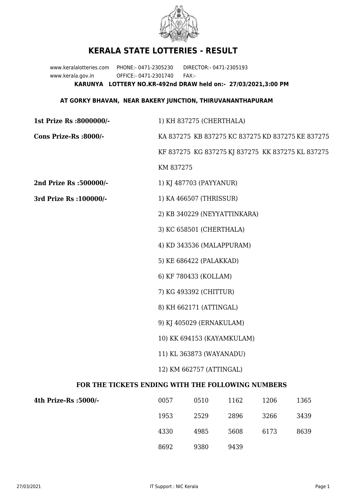

## **KERALA STATE LOTTERIES - RESULT**

www.keralalotteries.com PHONE:- 0471-2305230 DIRECTOR:- 0471-2305193 www.kerala.gov.in OFFICE:- 0471-2301740 FAX:- **KARUNYA LOTTERY NO.KR-492nd DRAW held on:- 27/03/2021,3:00 PM**

## **AT GORKY BHAVAN, NEAR BAKERY JUNCTION, THIRUVANANTHAPURAM**

| 1st Prize Rs :8000000/-                           | 1) KH 837275 (CHERTHALA)                          |                              |      |      |                                                   |  |  |
|---------------------------------------------------|---------------------------------------------------|------------------------------|------|------|---------------------------------------------------|--|--|
| Cons Prize-Rs :8000/-                             | KA 837275 KB 837275 KC 837275 KD 837275 KE 837275 |                              |      |      |                                                   |  |  |
|                                                   |                                                   |                              |      |      | KF 837275 KG 837275 KJ 837275 KK 837275 KL 837275 |  |  |
|                                                   | KM 837275                                         |                              |      |      |                                                   |  |  |
| 2nd Prize Rs :500000/-                            |                                                   | 1) KJ 487703 (PAYYANUR)      |      |      |                                                   |  |  |
| 3rd Prize Rs : 100000/-                           | 1) KA 466507 (THRISSUR)                           |                              |      |      |                                                   |  |  |
|                                                   |                                                   | 2) KB 340229 (NEYYATTINKARA) |      |      |                                                   |  |  |
|                                                   |                                                   | 3) KC 658501 (CHERTHALA)     |      |      |                                                   |  |  |
|                                                   |                                                   | 4) KD 343536 (MALAPPURAM)    |      |      |                                                   |  |  |
|                                                   |                                                   | 5) KE 686422 (PALAKKAD)      |      |      |                                                   |  |  |
|                                                   |                                                   | 6) KF 780433 (KOLLAM)        |      |      |                                                   |  |  |
|                                                   |                                                   | 7) KG 493392 (CHITTUR)       |      |      |                                                   |  |  |
|                                                   | 8) KH 662171 (ATTINGAL)                           |                              |      |      |                                                   |  |  |
|                                                   | 9) KJ 405029 (ERNAKULAM)                          |                              |      |      |                                                   |  |  |
|                                                   | 10) KK 694153 (KAYAMKULAM)                        |                              |      |      |                                                   |  |  |
|                                                   | 11) KL 363873 (WAYANADU)                          |                              |      |      |                                                   |  |  |
|                                                   | 12) KM 662757 (ATTINGAL)                          |                              |      |      |                                                   |  |  |
| FOR THE TICKETS ENDING WITH THE FOLLOWING NUMBERS |                                                   |                              |      |      |                                                   |  |  |
| 4th Prize-Rs :5000/-                              | 0057                                              | 0510                         | 1162 | 1206 | 1365                                              |  |  |

| 4th Prize-Rs :5000/- | 0057 | 0510 | 1162 | 1206 | 1365 |
|----------------------|------|------|------|------|------|
|                      | 1953 | 2529 | 2896 | 3266 | 3439 |
|                      | 4330 | 4985 | 5608 | 6173 | 8639 |
|                      | 8692 | 9380 | 9439 |      |      |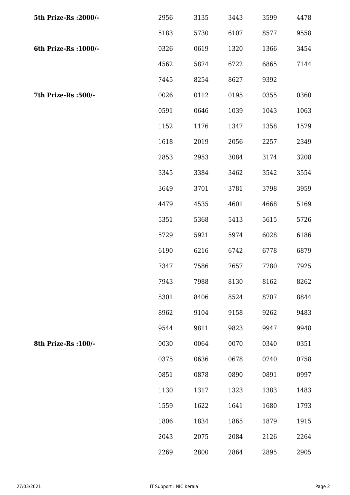| 5th Prize-Rs : 2000/- | 2956 | 3135 | 3443 | 3599 | 4478 |
|-----------------------|------|------|------|------|------|
|                       | 5183 | 5730 | 6107 | 8577 | 9558 |
| 6th Prize-Rs : 1000/- | 0326 | 0619 | 1320 | 1366 | 3454 |
|                       | 4562 | 5874 | 6722 | 6865 | 7144 |
|                       | 7445 | 8254 | 8627 | 9392 |      |
| 7th Prize-Rs :500/-   | 0026 | 0112 | 0195 | 0355 | 0360 |
|                       | 0591 | 0646 | 1039 | 1043 | 1063 |
|                       | 1152 | 1176 | 1347 | 1358 | 1579 |
|                       | 1618 | 2019 | 2056 | 2257 | 2349 |
|                       | 2853 | 2953 | 3084 | 3174 | 3208 |
|                       | 3345 | 3384 | 3462 | 3542 | 3554 |
|                       | 3649 | 3701 | 3781 | 3798 | 3959 |
|                       | 4479 | 4535 | 4601 | 4668 | 5169 |
|                       | 5351 | 5368 | 5413 | 5615 | 5726 |
|                       | 5729 | 5921 | 5974 | 6028 | 6186 |
|                       | 6190 | 6216 | 6742 | 6778 | 6879 |
|                       | 7347 | 7586 | 7657 | 7780 | 7925 |
|                       | 7943 | 7988 | 8130 | 8162 | 8262 |
|                       | 8301 | 8406 | 8524 | 8707 | 8844 |
|                       | 8962 | 9104 | 9158 | 9262 | 9483 |
|                       | 9544 | 9811 | 9823 | 9947 | 9948 |
| 8th Prize-Rs : 100/-  | 0030 | 0064 | 0070 | 0340 | 0351 |
|                       | 0375 | 0636 | 0678 | 0740 | 0758 |
|                       | 0851 | 0878 | 0890 | 0891 | 0997 |
|                       | 1130 | 1317 | 1323 | 1383 | 1483 |
|                       | 1559 | 1622 | 1641 | 1680 | 1793 |
|                       | 1806 | 1834 | 1865 | 1879 | 1915 |
|                       | 2043 | 2075 | 2084 | 2126 | 2264 |
|                       | 2269 | 2800 | 2864 | 2895 | 2905 |